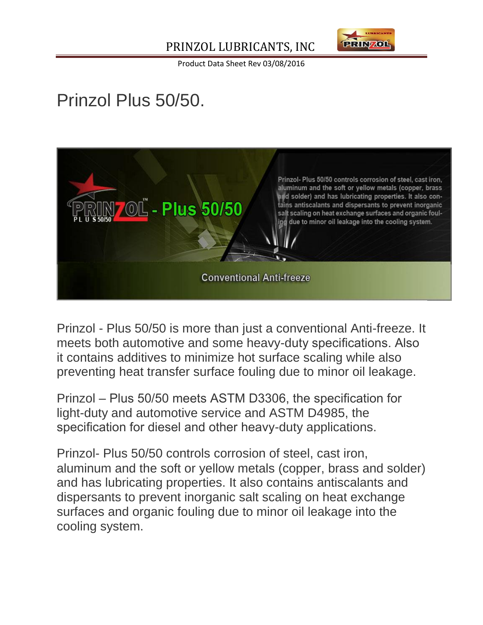

Product Data Sheet Rev 03/08/2016

## Prinzol Plus 50/50.



Prinzol - Plus 50/50 is more than just a conventional Anti-freeze. It meets both automotive and some heavy-duty specifications. Also it contains additives to minimize hot surface scaling while also preventing heat transfer surface fouling due to minor oil leakage.

Prinzol – Plus 50/50 meets ASTM D3306, the specification for light-duty and automotive service and ASTM D4985, the specification for diesel and other heavy-duty applications.

Prinzol- Plus 50/50 controls corrosion of steel, cast iron, aluminum and the soft or yellow metals (copper, brass and solder) and has lubricating properties. It also contains antiscalants and dispersants to prevent inorganic salt scaling on heat exchange surfaces and organic fouling due to minor oil leakage into the cooling system.